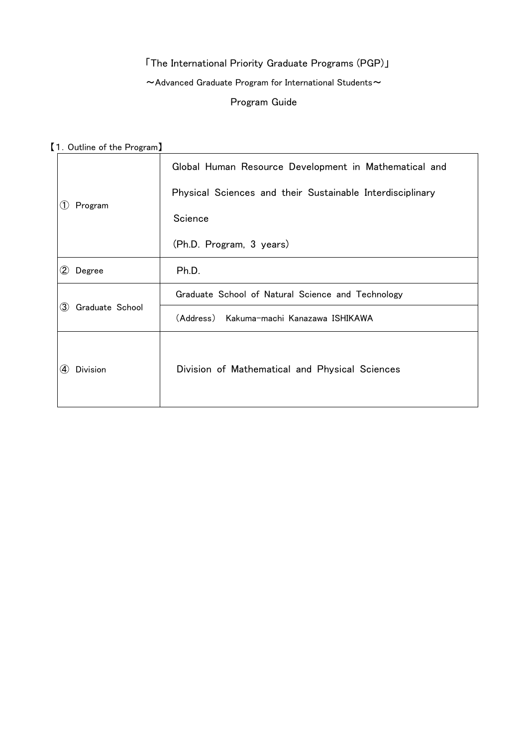# 「The International Priority Graduate Programs (PGP)」  $\sim$  Advanced Graduate Program for International Students $\sim$ Program Guide

【1.Outline of the Program】

| Program                | Global Human Resource Development in Mathematical and     |
|------------------------|-----------------------------------------------------------|
|                        | Physical Sciences and their Sustainable Interdisciplinary |
|                        | Science                                                   |
|                        | (Ph.D. Program, 3 years)                                  |
| $\bf(2)$<br>Degree     | Ph.D.                                                     |
| Graduate School<br>(3) | Graduate School of Natural Science and Technology         |
|                        | (Address) Kakuma-machi Kanazawa ISHIKAWA                  |
| <b>Division</b><br>(4) | Division of Mathematical and Physical Sciences            |